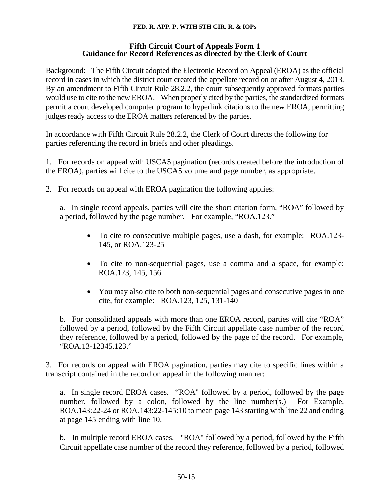## **FED. R. APP. P. WITH 5TH CIR. R. & IOPs**

## **Fifth Circuit Court of Appeals Form 1 Guidance for Record References as directed by the Clerk of Court**

Background: The Fifth Circuit adopted the Electronic Record on Appeal (EROA) as the official record in cases in which the district court created the appellate record on or after August 4, 2013. By an amendment to Fifth Circuit Rule 28.2.2, the court subsequently approved formats parties would use to cite to the new EROA. When properly cited by the parties, the standardized formats permit a court developed computer program to hyperlink citations to the new EROA, permitting judges ready access to the EROA matters referenced by the parties.

In accordance with Fifth Circuit Rule 28.2.2, the Clerk of Court directs the following for parties referencing the record in briefs and other pleadings.

1. For records on appeal with USCA5 pagination (records created before the introduction of the EROA), parties will cite to the USCA5 volume and page number, as appropriate.

2. For records on appeal with EROA pagination the following applies:

a. In single record appeals, parties will cite the short citation form, "ROA" followed by a period, followed by the page number. For example, "ROA.123."

- To cite to consecutive multiple pages, use a dash, for example: ROA.123- 145, or ROA.123-25
- To cite to non-sequential pages, use a comma and a space, for example: ROA.123, 145, 156
- You may also cite to both non-sequential pages and consecutive pages in one cite, for example: ROA.123, 125, 131-140

b. For consolidated appeals with more than one EROA record, parties will cite "ROA" followed by a period, followed by the Fifth Circuit appellate case number of the record they reference, followed by a period, followed by the page of the record. For example, "ROA.13-12345.123."

3. For records on appeal with EROA pagination, parties may cite to specific lines within a transcript contained in the record on appeal in the following manner:

a. In single record EROA cases. "ROA" followed by a period, followed by the page number, followed by a colon, followed by the line number(s.) For Example, ROA.143:22-24 or ROA.143:22-145:10 to mean page 143 starting with line 22 and ending at page 145 ending with line 10.

b. In multiple record EROA cases. "ROA" followed by a period, followed by the Fifth Circuit appellate case number of the record they reference, followed by a period, followed